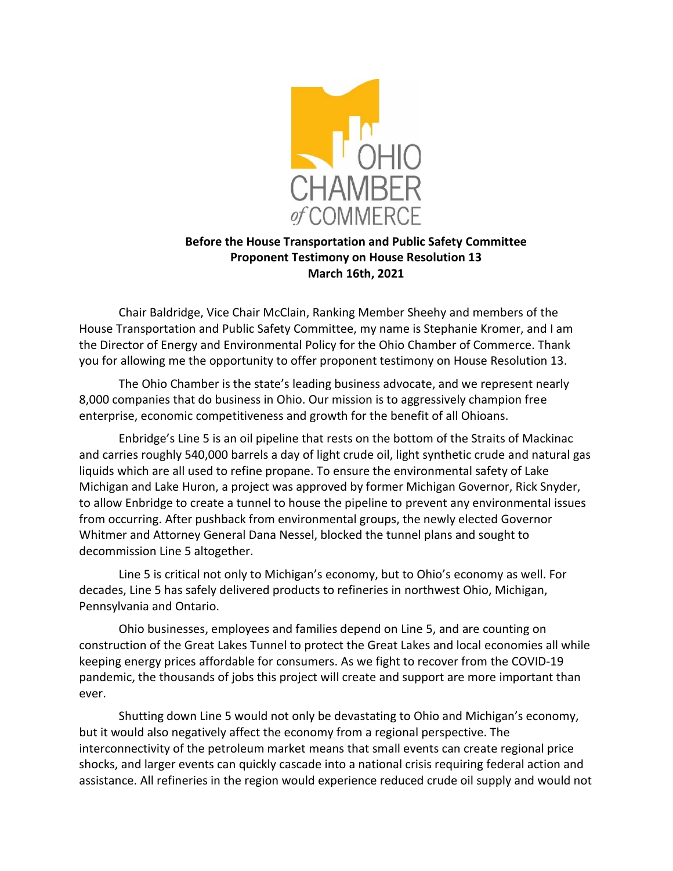

## **Before the House Transportation and Public Safety Committee Proponent Testimony on House Resolution 13 March 16th, 2021**

Chair Baldridge, Vice Chair McClain, Ranking Member Sheehy and members of the House Transportation and Public Safety Committee, my name is Stephanie Kromer, and I am the Director of Energy and Environmental Policy for the Ohio Chamber of Commerce. Thank you for allowing me the opportunity to offer proponent testimony on House Resolution 13.

The Ohio Chamber is the state's leading business advocate, and we represent nearly 8,000 companies that do business in Ohio. Our mission is to aggressively champion free enterprise, economic competitiveness and growth for the benefit of all Ohioans.

Enbridge's Line 5 is an oil pipeline that rests on the bottom of the Straits of Mackinac and carries roughly 540,000 barrels a day of light crude oil, light synthetic crude and natural gas liquids which are all used to refine propane. To ensure the environmental safety of Lake Michigan and Lake Huron, a project was approved by former Michigan Governor, Rick Snyder, to allow Enbridge to create a tunnel to house the pipeline to prevent any environmental issues from occurring. After pushback from environmental groups, the newly elected Governor Whitmer and Attorney General Dana Nessel, blocked the tunnel plans and sought to decommission Line 5 altogether.

Line 5 is critical not only to Michigan's economy, but to Ohio's economy as well. For decades, Line 5 has safely delivered products to refineries in northwest Ohio, Michigan, Pennsylvania and Ontario.

Ohio businesses, employees and families depend on Line 5, and are counting on construction of the Great Lakes Tunnel to protect the Great Lakes and local economies all while keeping energy prices affordable for consumers. As we fight to recover from the COVID-19 pandemic, the thousands of jobs this project will create and support are more important than ever.

Shutting down Line 5 would not only be devastating to Ohio and Michigan's economy, but it would also negatively affect the economy from a regional perspective. The interconnectivity of the petroleum market means that small events can create regional price shocks, and larger events can quickly cascade into a national crisis requiring federal action and assistance. All refineries in the region would experience reduced crude oil supply and would not